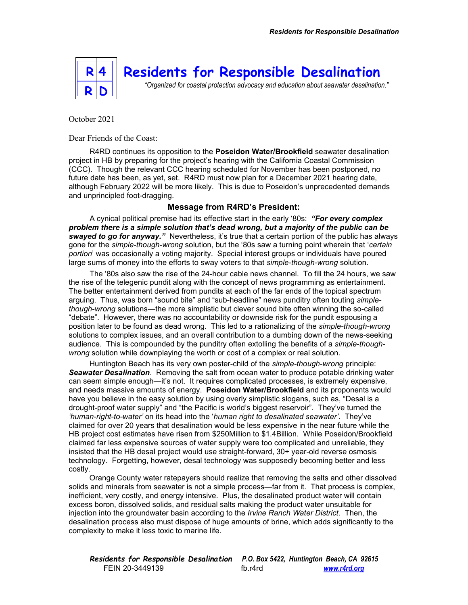

October 2021

Dear Friends of the Coast:

R4RD continues its opposition to the **Poseidon Water/Brookfield** seawater desalination project in HB by preparing for the project's hearing with the California Coastal Commission (CCC). Though the relevant CCC hearing scheduled for November has been postponed, no future date has been, as yet, set. R4RD must now plan for a December 2021 hearing date, although February 2022 will be more likely. This is due to Poseidon's unprecedented demands and unprincipled foot-dragging.

## **Message from R4RD's President:**

A cynical political premise had its effective start in the early '80s: *"For every complex problem there is a simple solution that's dead wrong, but a majority of the public can be*  **swayed to go for anyway."** Nevertheless, it's true that a certain portion of the public has always gone for the *simple-though-wrong* solution, but the '80s saw a turning point wherein that '*certain portion*' was occasionally a voting majority. Special interest groups or individuals have poured large sums of money into the efforts to sway voters to that *simple-though-wrong* solution.

The '80s also saw the rise of the 24-hour cable news channel. To fill the 24 hours, we saw the rise of the telegenic pundit along with the concept of news programming as entertainment. The better entertainment derived from pundits at each of the far ends of the topical spectrum arguing. Thus, was born "sound bite" and "sub-headline" news punditry often touting *simplethough-wrong* solutions—the more simplistic but clever sound bite often winning the so-called "debate". However, there was no accountability or downside risk for the pundit espousing a position later to be found as dead wrong. This led to a rationalizing of the *simple-though-wrong* solutions to complex issues, and an overall contribution to a dumbing down of the news-seeking audience. This is compounded by the punditry often extolling the benefits of a *simple-thoughwrong* solution while downplaying the worth or cost of a complex or real solution.

Huntington Beach has its very own poster-child of the *simple-though-wrong* principle: *Seawater Desalination*. Removing the salt from ocean water to produce potable drinking water can seem simple enough—it's not. It requires complicated processes, is extremely expensive, and needs massive amounts of energy. **Poseidon Water/Brookfield** and its proponents would have you believe in the easy solution by using overly simplistic slogans, such as, "Desal is a drought-proof water supply" and "the Pacific is world's biggest reservoir". They've turned the *'human-right-to-water'* on its head into the '*human right to desalinated seawater'*. They've claimed for over 20 years that desalination would be less expensive in the near future while the HB project cost estimates have risen from \$250Million to \$1.4Billion. While Poseidon/Brookfield claimed far less expensive sources of water supply were too complicated and unreliable, they insisted that the HB desal project would use straight-forward, 30+ year-old reverse osmosis technology. Forgetting, however, desal technology was supposedly becoming better and less costly.

Orange County water ratepayers should realize that removing the salts and other dissolved solids and minerals from seawater is not a simple process—far from it. That process is complex, inefficient, very costly, and energy intensive. Plus, the desalinated product water will contain excess boron, dissolved solids, and residual salts making the product water unsuitable for injection into the groundwater basin according to the *Irvine Ranch Water District*. Then, the desalination process also must dispose of huge amounts of brine, which adds significantly to the complexity to make it less toxic to marine life.

| Residents for Responsible Desalination P.O. Box 5422, Huntington Beach, CA 92615 |         |              |
|----------------------------------------------------------------------------------|---------|--------------|
| FEIN 20-3449139                                                                  | fb.r4rd | www.r4rd.ora |